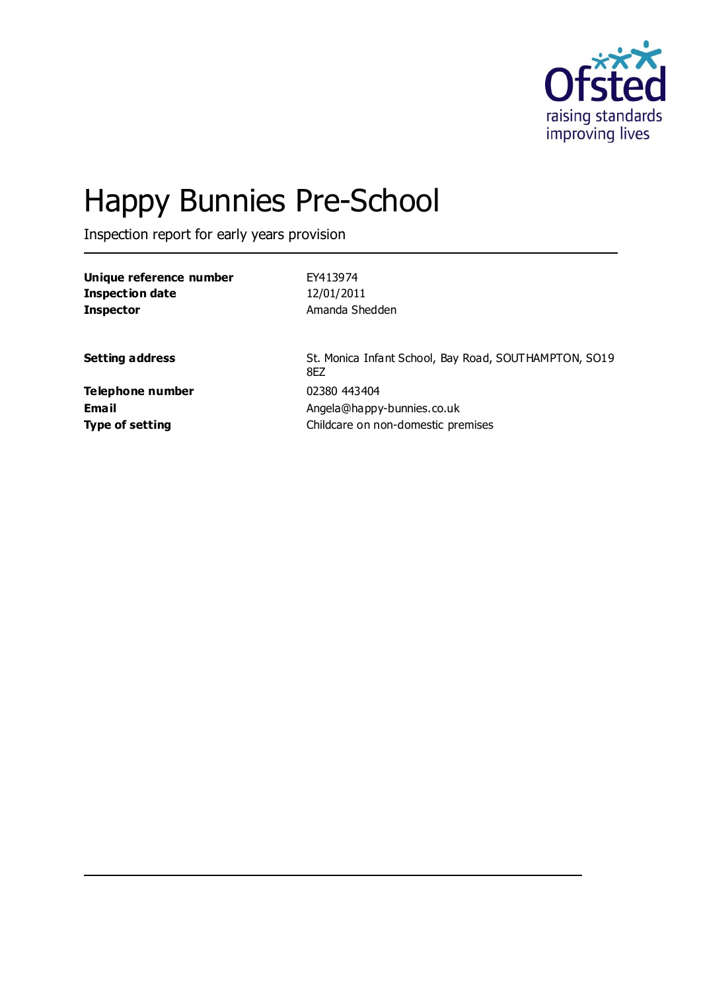

# Happy Bunnies Pre-School

Inspection report for early years provision

**Unique reference number** EY413974

| 12/01/2011                                                   |
|--------------------------------------------------------------|
| Amanda Shedden                                               |
| St. Monica Infant School, Bay Road, SOUTHAMPTON, SO19<br>8EZ |
| 02380 443404                                                 |
| Angela@happy-bunnies.co.uk                                   |
| Childcare on non-domestic premises                           |
|                                                              |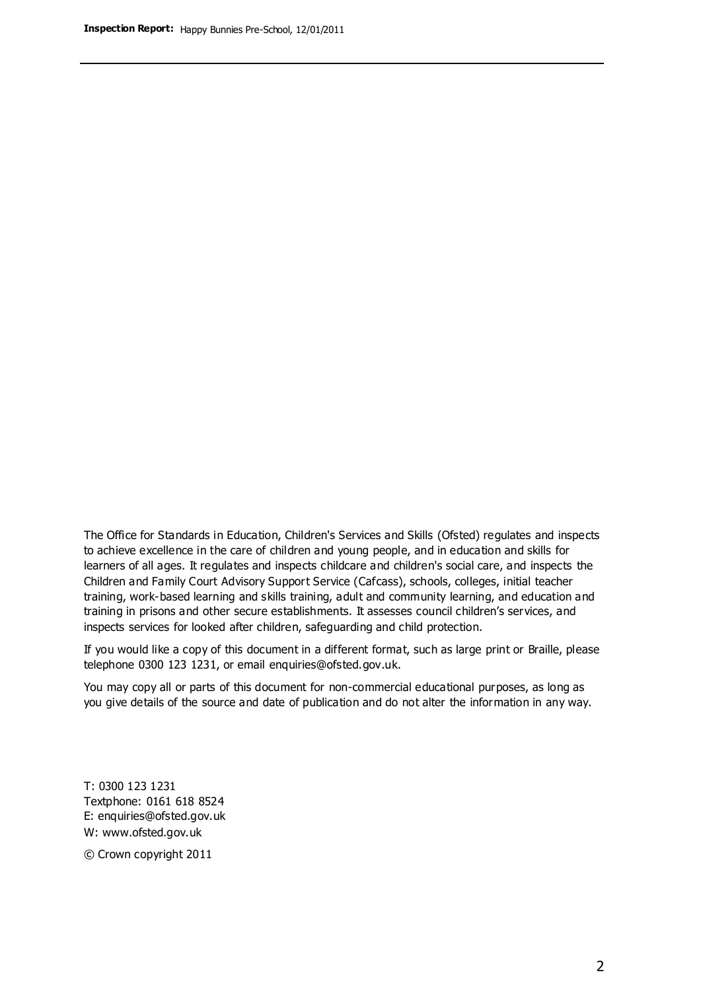The Office for Standards in Education, Children's Services and Skills (Ofsted) regulates and inspects to achieve excellence in the care of children and young people, and in education and skills for learners of all ages. It regulates and inspects childcare and children's social care, and inspects the Children and Family Court Advisory Support Service (Cafcass), schools, colleges, initial teacher training, work-based learning and skills training, adult and community learning, and education and training in prisons and other secure establishments. It assesses council children's services, and inspects services for looked after children, safeguarding and child protection.

If you would like a copy of this document in a different format, such as large print or Braille, please telephone 0300 123 1231, or email enquiries@ofsted.gov.uk.

You may copy all or parts of this document for non-commercial educational purposes, as long as you give details of the source and date of publication and do not alter the information in any way.

T: 0300 123 1231 Textphone: 0161 618 8524 E: enquiries@ofsted.gov.uk W: [www.ofsted.gov.uk](http://www.ofsted.gov.uk/)

© Crown copyright 2011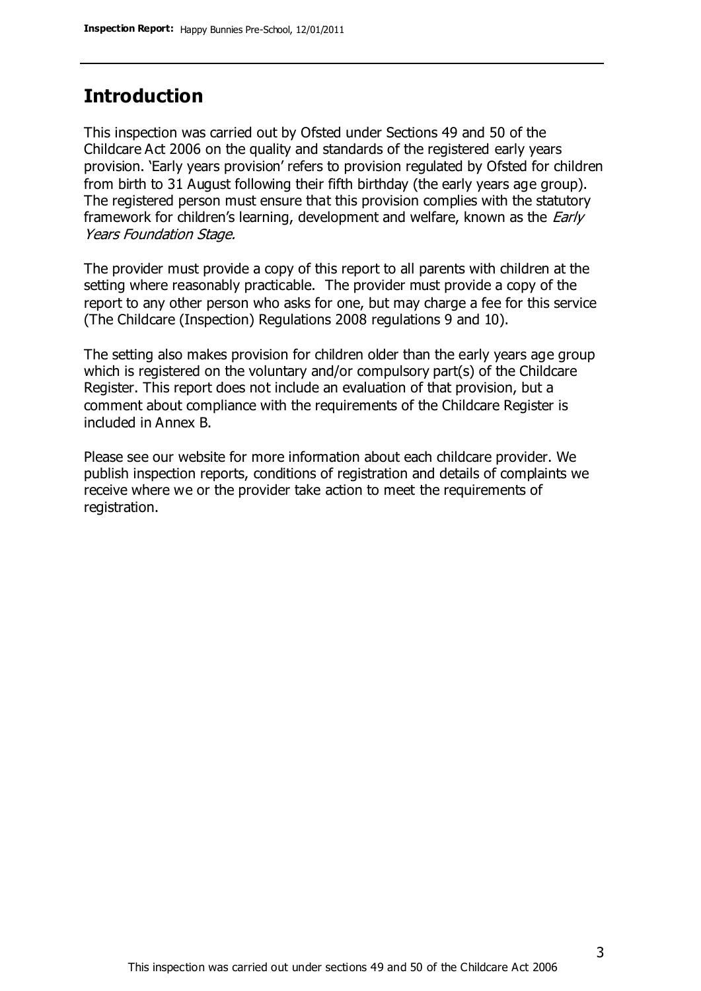## **Introduction**

This inspection was carried out by Ofsted under Sections 49 and 50 of the Childcare Act 2006 on the quality and standards of the registered early years provision. 'Early years provision' refers to provision regulated by Ofsted for children from birth to 31 August following their fifth birthday (the early years age group). The registered person must ensure that this provision complies with the statutory framework for children's learning, development and welfare, known as the *Early* Years Foundation Stage.

The provider must provide a copy of this report to all parents with children at the setting where reasonably practicable. The provider must provide a copy of the report to any other person who asks for one, but may charge a fee for this service (The Childcare (Inspection) Regulations 2008 regulations 9 and 10).

The setting also makes provision for children older than the early years age group which is registered on the voluntary and/or compulsory part(s) of the Childcare Register. This report does not include an evaluation of that provision, but a comment about compliance with the requirements of the Childcare Register is included in Annex B.

Please see our website for more information about each childcare provider. We publish inspection reports, conditions of registration and details of complaints we receive where we or the provider take action to meet the requirements of registration.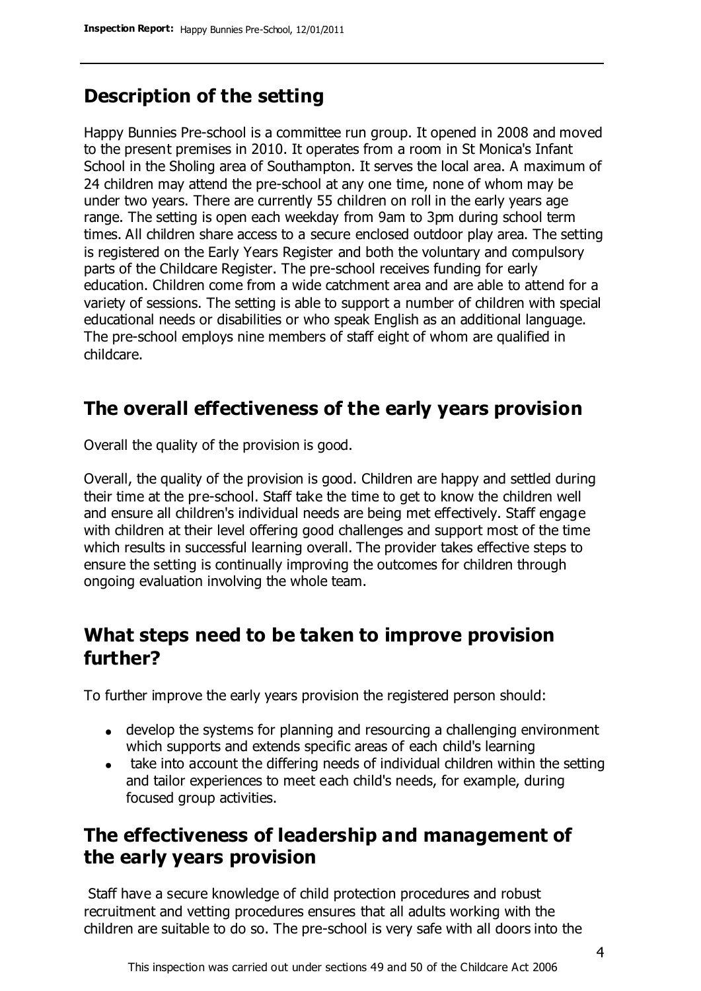## **Description of the setting**

Happy Bunnies Pre-school is a committee run group. It opened in 2008 and moved to the present premises in 2010. It operates from a room in St Monica's Infant School in the Sholing area of Southampton. It serves the local area. A maximum of 24 children may attend the pre-school at any one time, none of whom may be under two years. There are currently 55 children on roll in the early years age range. The setting is open each weekday from 9am to 3pm during school term times. All children share access to a secure enclosed outdoor play area. The setting is registered on the Early Years Register and both the voluntary and compulsory parts of the Childcare Register. The pre-school receives funding for early education. Children come from a wide catchment area and are able to attend for a variety of sessions. The setting is able to support a number of children with special educational needs or disabilities or who speak English as an additional language. The pre-school employs nine members of staff eight of whom are qualified in childcare.

# **The overall effectiveness of the early years provision**

Overall the quality of the provision is good.

Overall, the quality of the provision is good. Children are happy and settled during their time at the pre-school. Staff take the time to get to know the children well and ensure all children's individual needs are being met effectively. Staff engage with children at their level offering good challenges and support most of the time which results in successful learning overall. The provider takes effective steps to ensure the setting is continually improving the outcomes for children through ongoing evaluation involving the whole team.

## **What steps need to be taken to improve provision further?**

To further improve the early years provision the registered person should:

- develop the systems for planning and resourcing a challenging environment which supports and extends specific areas of each child's learning
- take into account the differing needs of individual children within the setting and tailor experiences to meet each child's needs, for example, during focused group activities.

## **The effectiveness of leadership and management of the early years provision**

Staff have a secure knowledge of child protection procedures and robust recruitment and vetting procedures ensures that all adults working with the children are suitable to do so. The pre-school is very safe with all doors into the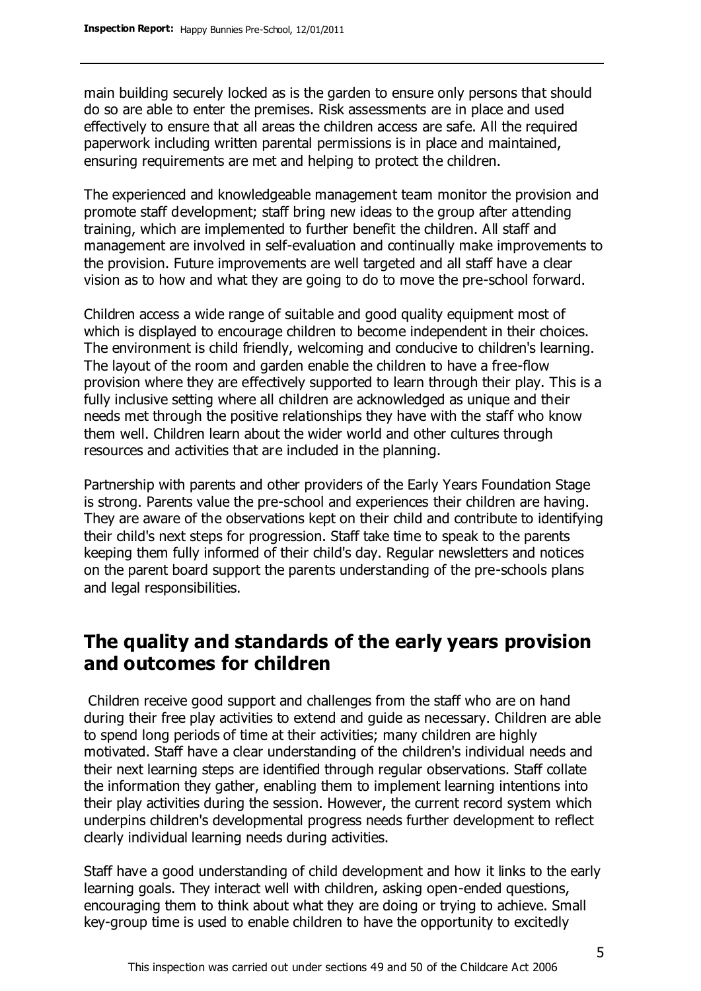main building securely locked as is the garden to ensure only persons that should do so are able to enter the premises. Risk assessments are in place and used effectively to ensure that all areas the children access are safe. All the required paperwork including written parental permissions is in place and maintained, ensuring requirements are met and helping to protect the children.

The experienced and knowledgeable management team monitor the provision and promote staff development; staff bring new ideas to the group after attending training, which are implemented to further benefit the children. All staff and management are involved in self-evaluation and continually make improvements to the provision. Future improvements are well targeted and all staff have a clear vision as to how and what they are going to do to move the pre-school forward.

Children access a wide range of suitable and good quality equipment most of which is displayed to encourage children to become independent in their choices. The environment is child friendly, welcoming and conducive to children's learning. The layout of the room and garden enable the children to have a free-flow provision where they are effectively supported to learn through their play. This is a fully inclusive setting where all children are acknowledged as unique and their needs met through the positive relationships they have with the staff who know them well. Children learn about the wider world and other cultures through resources and activities that are included in the planning.

Partnership with parents and other providers of the Early Years Foundation Stage is strong. Parents value the pre-school and experiences their children are having. They are aware of the observations kept on their child and contribute to identifying their child's next steps for progression. Staff take time to speak to the parents keeping them fully informed of their child's day. Regular newsletters and notices on the parent board support the parents understanding of the pre-schools plans and legal responsibilities.

## **The quality and standards of the early years provision and outcomes for children**

Children receive good support and challenges from the staff who are on hand during their free play activities to extend and guide as necessary. Children are able to spend long periods of time at their activities; many children are highly motivated. Staff have a clear understanding of the children's individual needs and their next learning steps are identified through regular observations. Staff collate the information they gather, enabling them to implement learning intentions into their play activities during the session. However, the current record system which underpins children's developmental progress needs further development to reflect clearly individual learning needs during activities.

Staff have a good understanding of child development and how it links to the early learning goals. They interact well with children, asking open-ended questions, encouraging them to think about what they are doing or trying to achieve. Small key-group time is used to enable children to have the opportunity to excitedly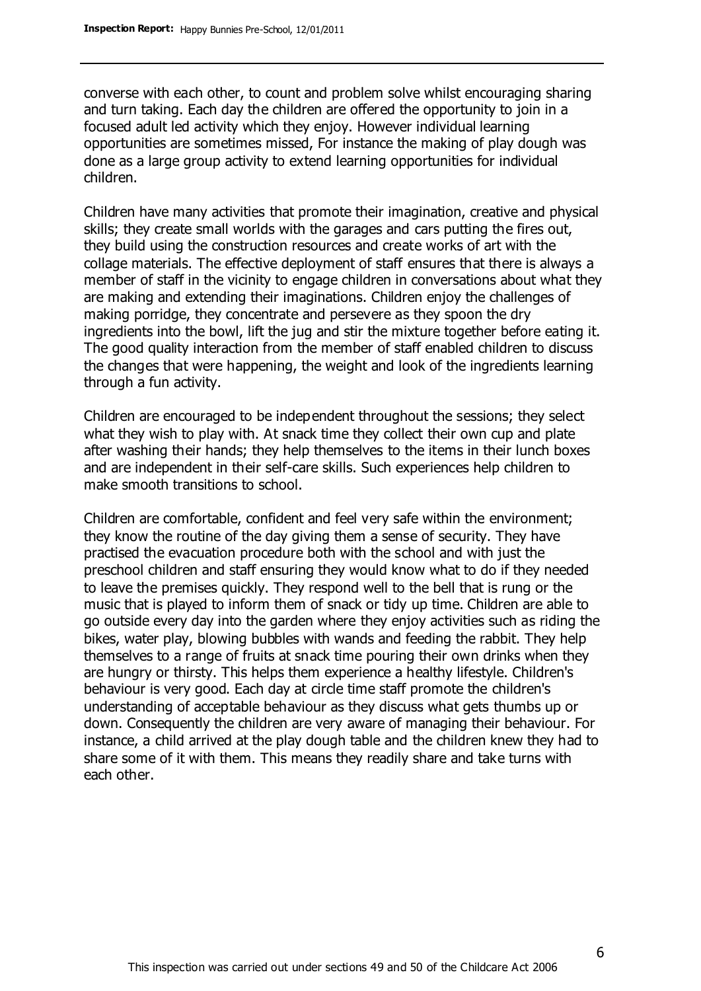converse with each other, to count and problem solve whilst encouraging sharing and turn taking. Each day the children are offered the opportunity to join in a focused adult led activity which they enjoy. However individual learning opportunities are sometimes missed, For instance the making of play dough was done as a large group activity to extend learning opportunities for individual children.

Children have many activities that promote their imagination, creative and physical skills; they create small worlds with the garages and cars putting the fires out, they build using the construction resources and create works of art with the collage materials. The effective deployment of staff ensures that there is always a member of staff in the vicinity to engage children in conversations about what they are making and extending their imaginations. Children enjoy the challenges of making porridge, they concentrate and persevere as they spoon the dry ingredients into the bowl, lift the jug and stir the mixture together before eating it. The good quality interaction from the member of staff enabled children to discuss the changes that were happening, the weight and look of the ingredients learning through a fun activity.

Children are encouraged to be independent throughout the sessions; they select what they wish to play with. At snack time they collect their own cup and plate after washing their hands; they help themselves to the items in their lunch boxes and are independent in their self-care skills. Such experiences help children to make smooth transitions to school.

Children are comfortable, confident and feel very safe within the environment; they know the routine of the day giving them a sense of security. They have practised the evacuation procedure both with the school and with just the preschool children and staff ensuring they would know what to do if they needed to leave the premises quickly. They respond well to the bell that is rung or the music that is played to inform them of snack or tidy up time. Children are able to go outside every day into the garden where they enjoy activities such as riding the bikes, water play, blowing bubbles with wands and feeding the rabbit. They help themselves to a range of fruits at snack time pouring their own drinks when they are hungry or thirsty. This helps them experience a healthy lifestyle. Children's behaviour is very good. Each day at circle time staff promote the children's understanding of acceptable behaviour as they discuss what gets thumbs up or down. Consequently the children are very aware of managing their behaviour. For instance, a child arrived at the play dough table and the children knew they had to share some of it with them. This means they readily share and take turns with each other.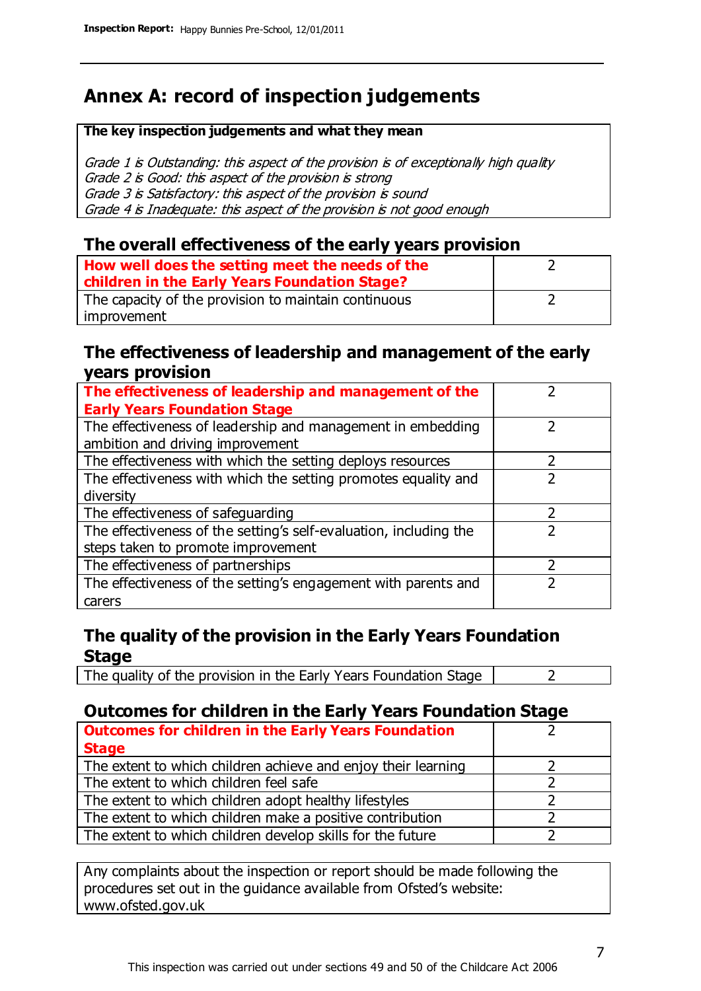# **Annex A: record of inspection judgements**

#### **The key inspection judgements and what they mean**

Grade 1 is Outstanding: this aspect of the provision is of exceptionally high quality Grade 2 is Good: this aspect of the provision is strong Grade 3 is Satisfactory: this aspect of the provision is sound Grade 4 is Inadequate: this aspect of the provision is not good enough

#### **The overall effectiveness of the early years provision**

| How well does the setting meet the needs of the      |  |
|------------------------------------------------------|--|
| children in the Early Years Foundation Stage?        |  |
| The capacity of the provision to maintain continuous |  |
| improvement                                          |  |

#### **The effectiveness of leadership and management of the early years provision**

| The effectiveness of leadership and management of the             |  |
|-------------------------------------------------------------------|--|
| <b>Early Years Foundation Stage</b>                               |  |
| The effectiveness of leadership and management in embedding       |  |
| ambition and driving improvement                                  |  |
| The effectiveness with which the setting deploys resources        |  |
| The effectiveness with which the setting promotes equality and    |  |
| diversity                                                         |  |
| The effectiveness of safeguarding                                 |  |
| The effectiveness of the setting's self-evaluation, including the |  |
| steps taken to promote improvement                                |  |
| The effectiveness of partnerships                                 |  |
| The effectiveness of the setting's engagement with parents and    |  |
| carers                                                            |  |

#### **The quality of the provision in the Early Years Foundation Stage**

The quality of the provision in the Early Years Foundation Stage  $\vert$  2

### **Outcomes for children in the Early Years Foundation Stage**

| <b>Outcomes for children in the Early Years Foundation</b>    |  |
|---------------------------------------------------------------|--|
| <b>Stage</b>                                                  |  |
| The extent to which children achieve and enjoy their learning |  |
| The extent to which children feel safe                        |  |
| The extent to which children adopt healthy lifestyles         |  |
| The extent to which children make a positive contribution     |  |
| The extent to which children develop skills for the future    |  |

Any complaints about the inspection or report should be made following the procedures set out in the guidance available from Ofsted's website: www.ofsted.gov.uk